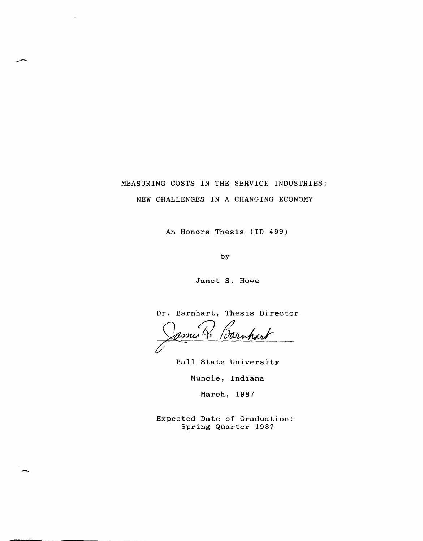# MEASURING COSTS IN THE SERVICE INDUSTRIES: NEW CHALLENGES IN A CHANGING ECONOMY

An Honors Thesis (ID 499)

by

Janet S. Howe

Dr. Barnhart, Thesis Director

pmes!

Ball State University

Muncie, Indiana

March, 1987

Expected Date of Graduation: Spring Quarter 1987

-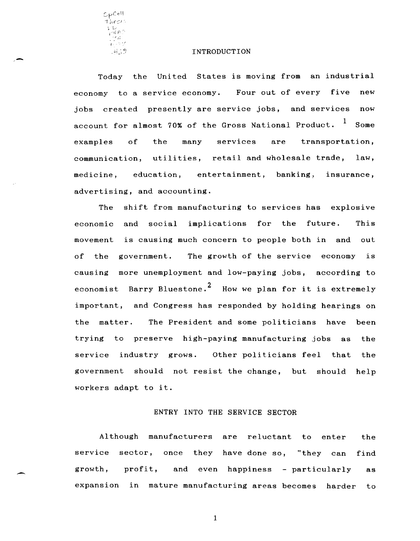${\mathcal{L}}_{\mathsf{P}}$ Coll  $7$ *hest*: l.- "L./ *,-'il P* ~, ., '

 $\overline{\phantom{0}}$ 

#### INTRODUCTION

Today the United States is moving from an industrial economy to a service economy. Four out of every five new jobs created presently are service jobs, and services now account for almost 70% of the Gross National Product.  $<sup>1</sup>$  Some</sup> examples of the many services are transportation, communication, utilities, retail and wholesale trade, law, medicine, education, entertainment, banking, insurance, advertising, and accounting.

The shift from manufacturing to services has explosive economic and social implications for the future. This movement is causing much concern to people both in and out of the government. The growth of the service economy is causing more unemployment and low-paying jobs, according to economist Barry Bluestone.<sup>2</sup> How we plan for it is extremely important, and Congress has responded by holding hearings on the matter. The President and some politicians have been trying to preserve high-paying manufacturing jobs as the service industry grows. Other politicians feel that the government should not resist the change, but should help workers adapt to it.

# ENTRY INTO THE SERVICE SECTOR

Although manufacturers are reluctant to enter the service sector, once they have done so, "they can find growth, profit, and even happiness - particularly as expansion in mature manufacturing areas becomes harder to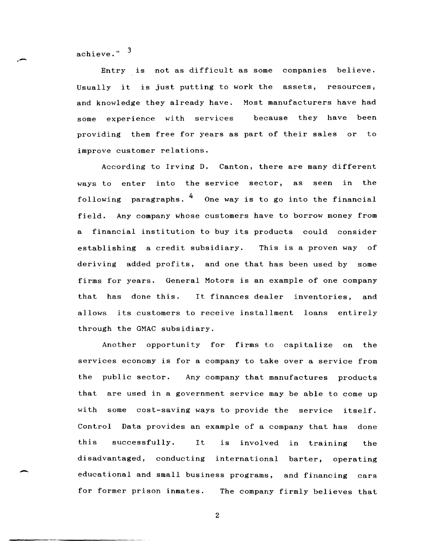achieve." <sup>3</sup>

.-

-

Entry is not as difficult as some companies believe. Usually it is just putting to work the assets, resources, and knowledge they already have. Most manufacturers have had some experience with services because they have been providing them free for years as part of their sales or to improve customer relations.

According to Irving D. Canton, there are many different ways to enter into the service sector, as seen in the following paragraphs.  $\frac{4}{}$  One way is to go into the financial field. Any company whose customers have to borrow money from a financial institution to buy its products could consider establishing a credit subsidiary. This is a proven way of deriving added profits, and one that has been used by some firms for years. General Motors is an example of one company that has done this. It finances dealer inventories, and allows its customers to receive installment loans entirely through the GMAC subsidiary.

Another opportunity for firms to capitalize on the services economy is for a company to take over a service from the public sector. Any company that manufactures products that are used in a government service may be able to come up with some cost-saving ways to provide the service itself. Control Data provides an example of a company that has done this successfully. It is involved in training the disadvantaged, conducting international barter, operating educational and small business programs, and financing cars for former prison inmates. The company firmly believes that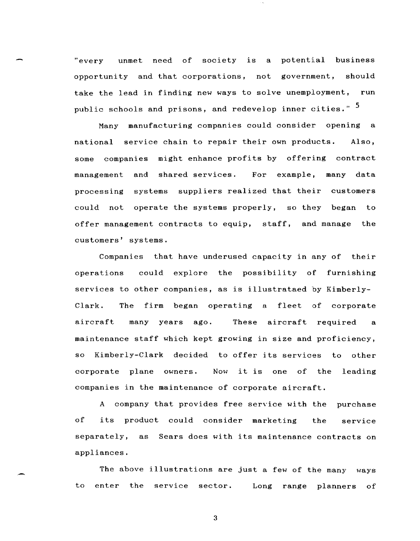"every unmet need of society is a potential business opportunity and that corporations, not government, should take the lead in finding new ways to solve unemployment, run public schools and prisons, and redevelop inner cities." <sup>5</sup>

Many manufacturing companies could consider opening a national service chain to repair their own products. Also, some companies might enhance profits by offering contract management and shared services. For example, many data processing systems suppliers realized that their customers could not operate the systems properly, so they began to offer management contracts to equip, staff, and manage the customers' systems.

Companies that have underused capacity in any of their operations could explore the possibility of furnishing services to other companies, as is illustrataed by Kimberly-Clark. The firm began operating a fleet of corporate aircraft many years ago. These aircraft required <sup>a</sup> maintenance staff which kept growing in size and proficiency, so Kimberly-Clark decided to offer its services to other corporate plane owners. Now it is one of the leading companies in the maintenance of corporate aircraft.

A company that provides free service with the purchase of its product could consider marketing the service separately, as Sears does with its maintenance contracts on appliances.

The above illustrations are just a few of the many ways to enter the service sector. Long range planners of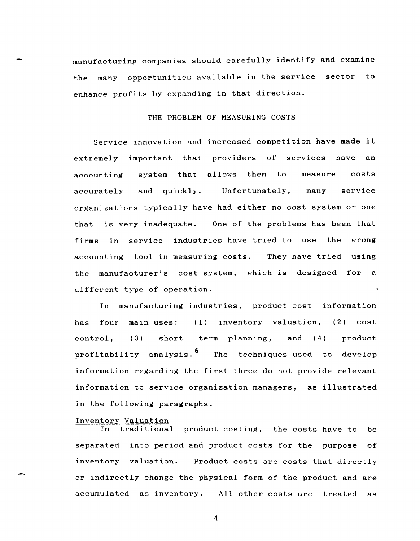manufacturing companies should carefully identify and examine the many opportunities available in the service sector to enhance profits by expanding in that direction.

# THE PROBLEM OF MEASURING COSTS

Service innovation and increased competition have made it extremely important that providers of services have an accounting system that allows them to measure costs accurately and quickly. Unfortunately, many service organizations typically have had either no cost system or one that is very inadequate. One of the problems has been that firms in service industries have tried to use the wrong accounting tool in measuring costs. They have tried using the manufacturer's cost system, which is designed for a different type of operation.

In manufacturing industries, product cost information has four main uses: (1) inventory valuation, (2) cost control, (3) short term planning, and (4) product profitability analysis.<sup>6</sup> The techniques used to develop information regarding the first three do not provide relevant information to service organization managers, as illustrated in the following paragraphs.

## Inventory Valuation

In traditional product costing, the costs have to be separated into period and product costs for the purpose of inventory valuation. Product costs are costs that directly or indirectly change the physical form of the product and are accumulated as inventory. All other costs are treated as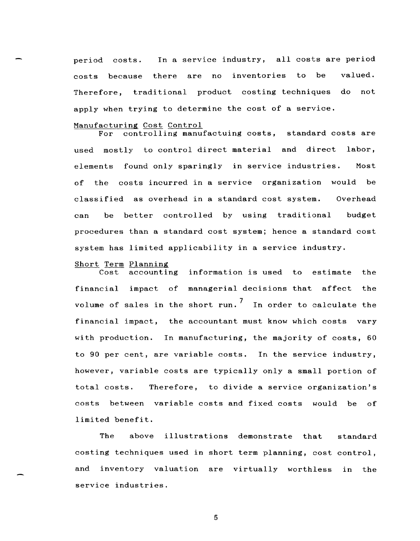period costs. In a service industry, all costs are period costs because there are no inventories to be valued. Therefore, traditional product costing techniques do not apply when trying to determine the cost of a service.

## Manufacturing Cost Control

For controlling manufactuing costs, standard costs are used mostly to control direct material and direct labor, elements found only sparingly in service industries. Most of the costs incurred in a service organization would be classified as overhead in a standard cost system. Overhead can be better controlled by using traditional budget procedures than a standard cost system; hence a standard cost system has limited applicability in a service industry.

## Short Term Planning

Cost accounting information is used to estimate the financial impact of managerial decisions that affect the volume of sales in the short run.<sup>7</sup> In order to calculate the financial impact, the accountant must know which costs vary with production. In manufacturing, the majority of costs, 60 to 90 per cent, are variable costs. In the service industry, however, variable costs are typically only a small portion of total costs. Therefore, to divide a service organization's costs between variable costs and fixed costs would be of limited benefit.

The above illustrations demonstrate that standard costing techniques used in short term planning, cost control, and inventory valuation are virtually worthless in the service industries.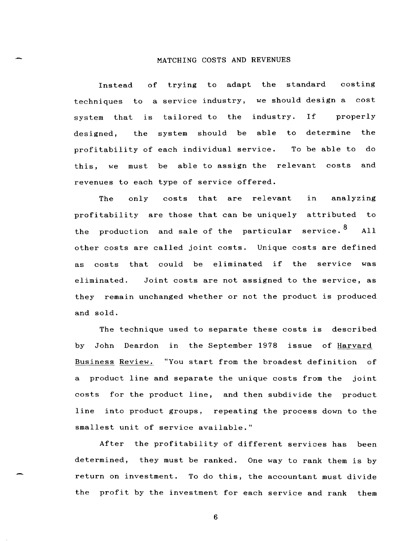## MATCHING COSTS AND REVENUES

Instead of trying to adapt the standard costing techniques to a service industry, we should design a cost system that is tailored to the industry. If properly designed, the system should be able to determine the profitability of each individual service. To be able to do this, we must be able to assign the relevant costs and revenues to each type of service offered.

The only costs that are relevant in analyzing profitability are those that can be uniquely attributed to the production and sale of the particular service.<sup>8</sup> All other costs are called joint costs. Unique costs are defined as costs that could be eliminated if the service was eliminated. Joint costs are not assigned to the service, as they remain unchanged whether or not the product is produced and sold.

The technique used to separate these costs is described by John Deardon in the September 1978 issue of Harvard Business Review. "You start from the broadest definition of a product line and separate the unique costs from the joint costs for the product line, and then subdivide the product line into product groups, repeating the process down to the smallest unit of service available."

After the profitability of different services has been determined, they must be ranked. One way to rank them is by return on investment. To do this, the accountant must divide the profit by the investment for each service and rank them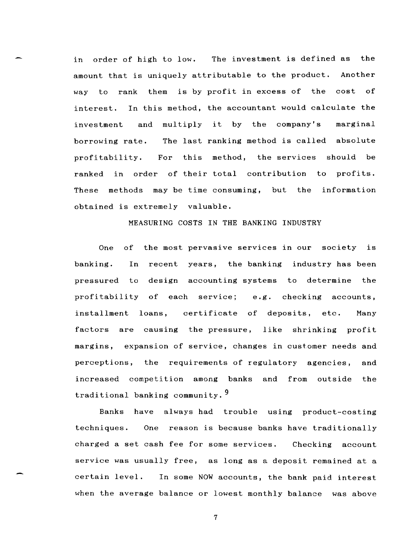in order of high to low. The investment is defined as the amount that is uniquely attributable to the product. Another way to rank them is by profit in excess of the cost of interest. In this method, the accountant would calculate the investment and multiply it by the company's marginal borrowing rate. profitability. The last ranking method is called absolute For this method, the services should be ranked in order of their total contribution to profits. These methods may be time consuming, but the information obtained is extremely valuable.

## MEASURING COSTS IN THE BANKING INDUSTRY

One of the most pervasive services in our society is banking. In recent years, the banking industry has been pressured to design accounting systems to determine the profitability of each service; e.g. checking accounts, installment loans, certificate of deposits, etc. Many factors are causing the pressure, like shrinking profit margins, expansion of service, changes in customer needs and perceptions, the requirements of regulatory agencies, and increased competition among banks and from outside the traditional banking community. 9

Banks have always had trouble using product-costing techniques. One reason is because banks have traditionally charged a set cash fee for some services. Checking account service was usually free, as long as a deposit remained at a certain level. In some NOW accounts, the bank paid interest when the average balance or lowest monthly balance was above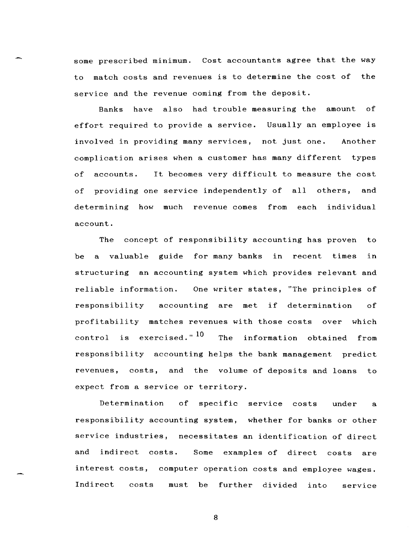some prescribed minimum. Cost accountants agree that the way to match costs and revenues is to determine the cost of the service and the revenue coming from the deposit.

Banks have also had trouble measuring the amount of effort required to provide a service. Usually an employee is involved in providing many services, not just one. Another complication arises when a customer has many different types of accounts. It becomes very difficult to measure the cost of providing one service independently of all others, and determining how much revenue comes from each individual account.

The concept of responsibility accounting has proven to be a valuable guide for many banks in recent times in structuring an accounting system which provides relevant and reliable information. One writer states, "The principles of responsibility accounting are met if determination of profitability matches revenues with those costs over which control is exercised."<sup>10</sup> The information obtained from responsibility accounting helps the bank management predict revenues, costs, and the volume of deposits and loans to expect from a service or territory.

Determination of specific service costs under a responsibility accounting system, whether for banks or other service industries, necessitates an identification of direct and indirect costs. Some examples of direct costs are interest costs, computer operation costs and employee wages. Indirect costs must be further divided into service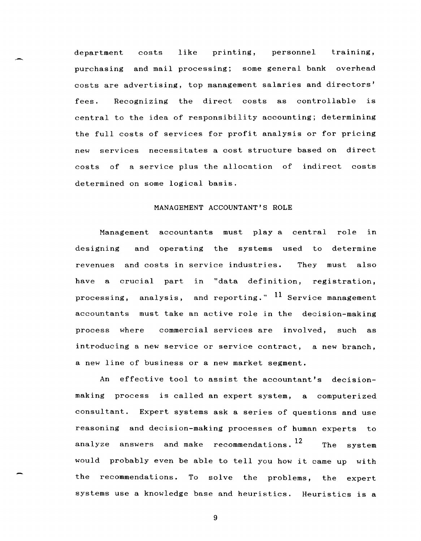department costs like printing, personnel training, purchasing and mail processing; some general bank overhead costs are advertising, top management salaries and directors' fees. Recognizing the direct costs as controllable is central to the idea of responsibility accounting; determining the full costs of services for profit analysis or for pricing new services necessitates a cost structure based on direct costs of a service plus the allocation of indirect costs determined on some logical basis.

# MANAGEMENT ACCOUNTANT'S ROLE

Management accountants must play a central role in designing and operating the systems used to determine revenues and costs in service industries. They must also have a crucial part in "data definition, registration, processing, analysis, and reporting."  $11$  Service management accountants must take an active role in the decision-making process where commercial services are involved, such as introducing a new service or service contract, a new branch, a new line of business or a new market segment.

An effective tool to assist the accountant's decisionmaking process is called an expert system, a computerized consultant. Expert systems ask a series of questions and use reasoning and decision-making processes of human experts to analyze answers and make recommendations.  $12$  The system would probably even be able to tell you how it came up with the recommendations. To solve the problems, the expert systems use a knowledge base and heuristics. Heuristics is a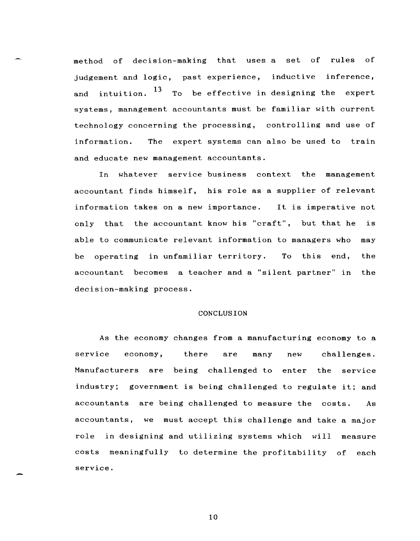method of decision-making that uses a set of rules of judgement and logic, past experience, inductive inference, and intuition.  $13\text{ }$  To be effective in designing the expert systems, management accountants must be familiar with current technology concerning the processing, controlling and use of information. The expert systems can also be used to train and educate new management accountants.

In whatever service business context the management accountant finds himself, his role as a supplier of relevant information takes on a new importance. It is imperative not only that the accountant know his "craft", but that he is able to communicate relevant information to managers who may be operating in unfamiliar territory. To this end, the accountant becomes a teacher and a "silent partner" in the decision-making process.

#### CONCLUSION

As the economy changes from a manufacturing economy to a service economy, there are many new challenges. Manufacturers are being challenged to enter the service industry; government is being challenged to regulate it; and accountants are being challenged to measure the costs. As accountants, we must accept this challenge and take a major role in designing and utilizing systems which will measure costs meaningfully to determine the profitability of each service.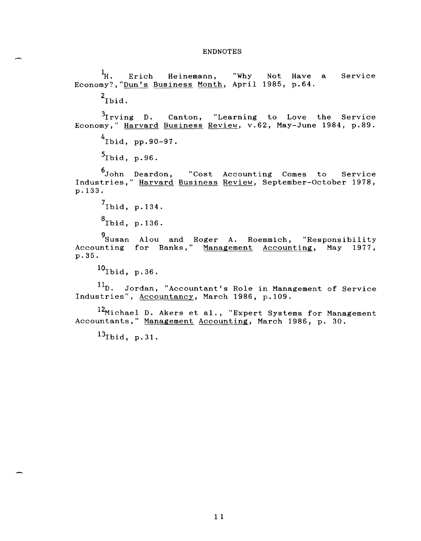#### ENDNOTES

<sup>1</sup>H. Erich Heinemann, "Why Not Have a Service Economy?,"<u>Dun's</u> Business Month, April 1985, p.64.

 $2$ Ibid.

 $3$ Irving D. Canton, "Learning to Love the Service Economy," Harvard Business Review, v.62, May-June 1984, p.89.

 $^{4}$ Ibid, pp.90-97.

 $5_{\text{Ibid, p.96}}$ .

6 John Deardon, "Cost Accounting Comes to Service Industries," Harvard Business Review, September-October 1978, p. 133.

 $'$ Ibid, p.134.  $^8$ Ibid, p.136.

9 Susan Alou and Roger A. Roemmich, "Responsibility Accounting for Banks," Management Accounting, May 1977, p.35.

 $^{10}$ Ibid, p.36.

 $11_D$ . Jordan, "Accountant's Role in Management of Service Industries", Accountancy, March 1986, p.109.

12Michael D. Akers et al., "Expert Systems for Management Accountants," Management Accounting, March 1986, p. 30.

 $13$ Ibid, p. 31.